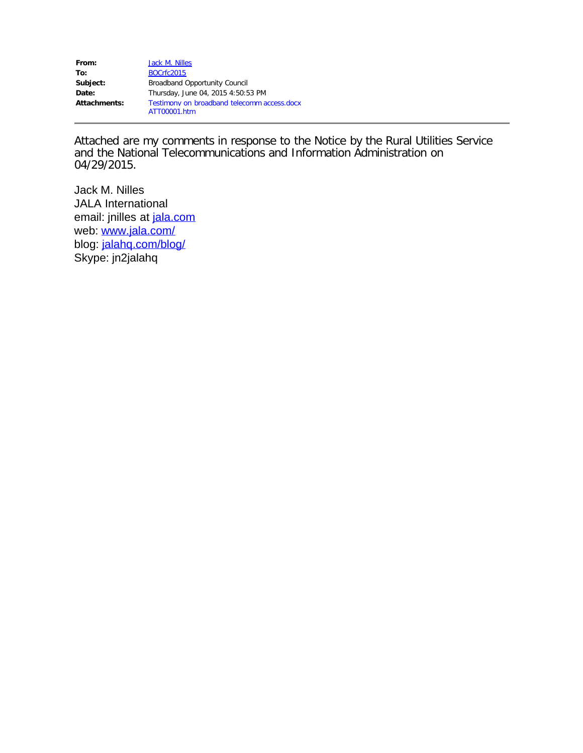| From:        | Jack M. Nilles                              |
|--------------|---------------------------------------------|
| To:          | <b>BOCrfc2015</b>                           |
| Subject:     | <b>Broadband Opportunity Council</b>        |
| Date:        | Thursday, June 04, 2015 4:50:53 PM          |
| Attachments: | Testimony on broadband telecomm access.docx |
|              | ATT00001.htm                                |

Attached are my comments in response to the Notice by the Rural Utilities Service and the National Telecommunications and Information Administration on 04/29/2015.

Jack M. Nilles JALA International email: jnilles at [jala.com](http://jala.com/) web: [www.jala.com/](http://www.jala.com/) blog: [jalahq.com/blog/](http://www.jalahq.com/blog/) Skype: jn2jalahq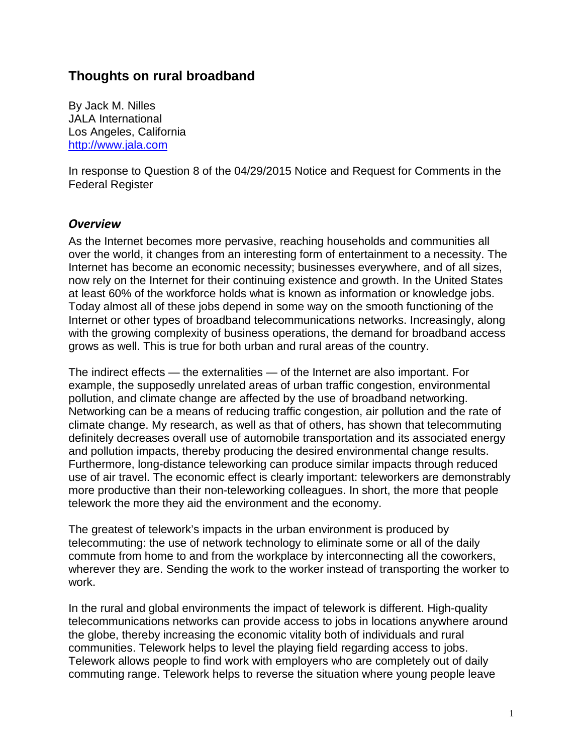## **Thoughts on rural broadband**

By Jack M. Nilles JALA International Los Angeles, California [http://www.jala.com](http://www.jala.com/)

In response to Question 8 of the 04/29/2015 Notice and Request for Comments in the Federal Register

## *Overview*

As the Internet becomes more pervasive, reaching households and communities all over the world, it changes from an interesting form of entertainment to a necessity. The Internet has become an economic necessity; businesses everywhere, and of all sizes, now rely on the Internet for their continuing existence and growth. In the United States at least 60% of the workforce holds what is known as information or knowledge jobs. Today almost all of these jobs depend in some way on the smooth functioning of the Internet or other types of broadband telecommunications networks. Increasingly, along with the growing complexity of business operations, the demand for broadband access grows as well. This is true for both urban and rural areas of the country.

The indirect effects — the externalities — of the Internet are also important. For example, the supposedly unrelated areas of urban traffic congestion, environmental pollution, and climate change are affected by the use of broadband networking. Networking can be a means of reducing traffic congestion, air pollution and the rate of climate change. My research, as well as that of others, has shown that telecommuting definitely decreases overall use of automobile transportation and its associated energy and pollution impacts, thereby producing the desired environmental change results. Furthermore, long-distance teleworking can produce similar impacts through reduced use of air travel. The economic effect is clearly important: teleworkers are demonstrably more productive than their non-teleworking colleagues. In short, the more that people telework the more they aid the environment and the economy.

The greatest of telework's impacts in the urban environment is produced by telecommuting: the use of network technology to eliminate some or all of the daily commute from home to and from the workplace by interconnecting all the coworkers, wherever they are. Sending the work to the worker instead of transporting the worker to work.

In the rural and global environments the impact of telework is different. High-quality telecommunications networks can provide access to jobs in locations anywhere around the globe, thereby increasing the economic vitality both of individuals and rural communities. Telework helps to level the playing field regarding access to jobs. Telework allows people to find work with employers who are completely out of daily commuting range. Telework helps to reverse the situation where young people leave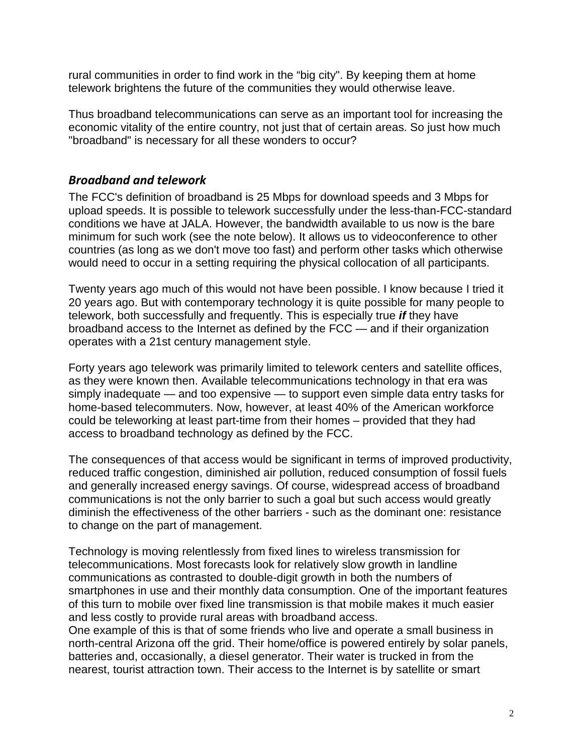rural communities in order to find work in the "big city". By keeping them at home telework brightens the future of the communities they would otherwise leave.

Thus broadband telecommunications can serve as an important tool for increasing the economic vitality of the entire country, not just that of certain areas. So just how much "broadband" is necessary for all these wonders to occur?

## *Broadband and telework*

The FCC's definition of broadband is 25 Mbps for download speeds and 3 Mbps for upload speeds. It is possible to telework successfully under the less-than-FCC-standard conditions we have at JALA. However, the bandwidth available to us now is the bare minimum for such work (see the note below). It allows us to videoconference to other countries (as long as we don't move too fast) and perform other tasks which otherwise would need to occur in a setting requiring the physical collocation of all participants.

Twenty years ago much of this would not have been possible. I know because I tried it 20 years ago. But with contemporary technology it is quite possible for many people to telework, both successfully and frequently. This is especially true *if* they have broadband access to the Internet as defined by the FCC — and if their organization operates with a 21st century management style.

Forty years ago telework was primarily limited to telework centers and satellite offices, as they were known then. Available telecommunications technology in that era was simply inadequate — and too expensive — to support even simple data entry tasks for home-based telecommuters. Now, however, at least 40% of the American workforce could be teleworking at least part-time from their homes – provided that they had access to broadband technology as defined by the FCC.

The consequences of that access would be significant in terms of improved productivity, reduced traffic congestion, diminished air pollution, reduced consumption of fossil fuels and generally increased energy savings. Of course, widespread access of broadband communications is not the only barrier to such a goal but such access would greatly diminish the effectiveness of the other barriers - such as the dominant one: resistance to change on the part of management.

Technology is moving relentlessly from fixed lines to wireless transmission for telecommunications. Most forecasts look for relatively slow growth in landline communications as contrasted to double-digit growth in both the numbers of smartphones in use and their monthly data consumption. One of the important features of this turn to mobile over fixed line transmission is that mobile makes it much easier and less costly to provide rural areas with broadband access.

One example of this is that of some friends who live and operate a small business in north-central Arizona off the grid. Their home/office is powered entirely by solar panels, batteries and, occasionally, a diesel generator. Their water is trucked in from the nearest, tourist attraction town. Their access to the Internet is by satellite or smart